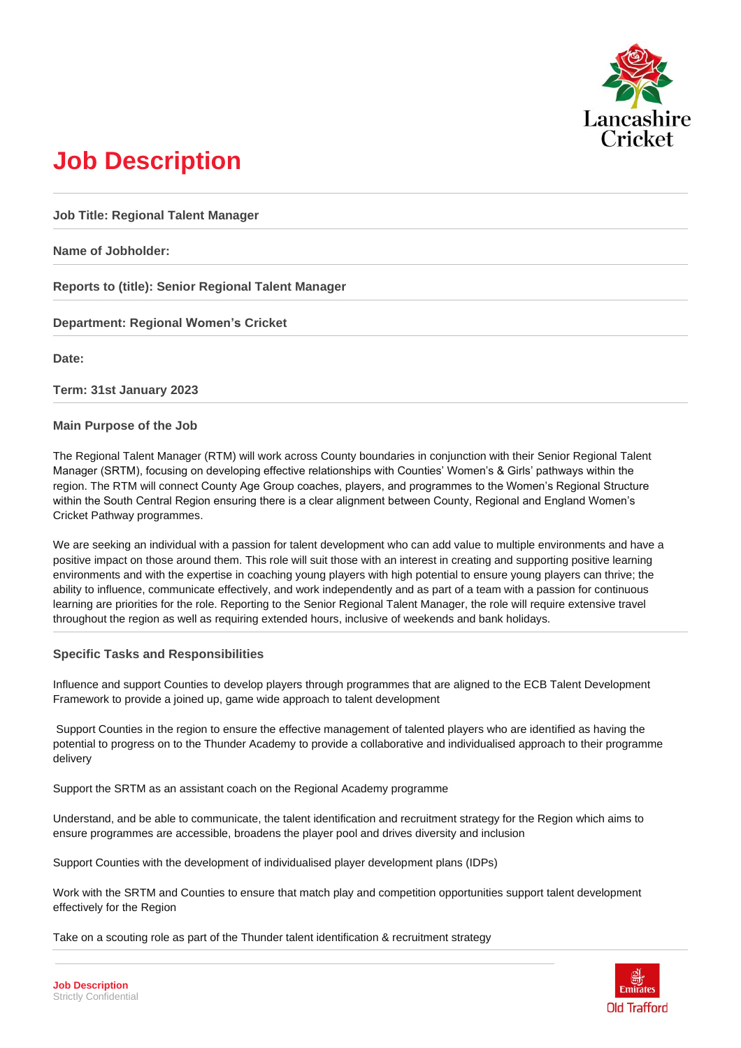

# **Job Description**

**Job Title: Regional Talent Manager**

**Name of Jobholder:** 

**Reports to (title): Senior Regional Talent Manager**

**Department: Regional Women's Cricket** 

**Date:** 

**Term: 31st January 2023** 

#### **Main Purpose of the Job**

The Regional Talent Manager (RTM) will work across County boundaries in conjunction with their Senior Regional Talent Manager (SRTM), focusing on developing effective relationships with Counties' Women's & Girls' pathways within the region. The RTM will connect County Age Group coaches, players, and programmes to the Women's Regional Structure within the South Central Region ensuring there is a clear alignment between County, Regional and England Women's Cricket Pathway programmes.

We are seeking an individual with a passion for talent development who can add value to multiple environments and have a positive impact on those around them. This role will suit those with an interest in creating and supporting positive learning environments and with the expertise in coaching young players with high potential to ensure young players can thrive; the ability to influence, communicate effectively, and work independently and as part of a team with a passion for continuous learning are priorities for the role. Reporting to the Senior Regional Talent Manager, the role will require extensive travel throughout the region as well as requiring extended hours, inclusive of weekends and bank holidays.

#### **Specific Tasks and Responsibilities**

Influence and support Counties to develop players through programmes that are aligned to the ECB Talent Development Framework to provide a joined up, game wide approach to talent development

Support Counties in the region to ensure the effective management of talented players who are identified as having the potential to progress on to the Thunder Academy to provide a collaborative and individualised approach to their programme delivery

Support the SRTM as an assistant coach on the Regional Academy programme

Understand, and be able to communicate, the talent identification and recruitment strategy for the Region which aims to ensure programmes are accessible, broadens the player pool and drives diversity and inclusion

Support Counties with the development of individualised player development plans (IDPs)

Work with the SRTM and Counties to ensure that match play and competition opportunities support talent development effectively for the Region

Take on a scouting role as part of the Thunder talent identification & recruitment strategy

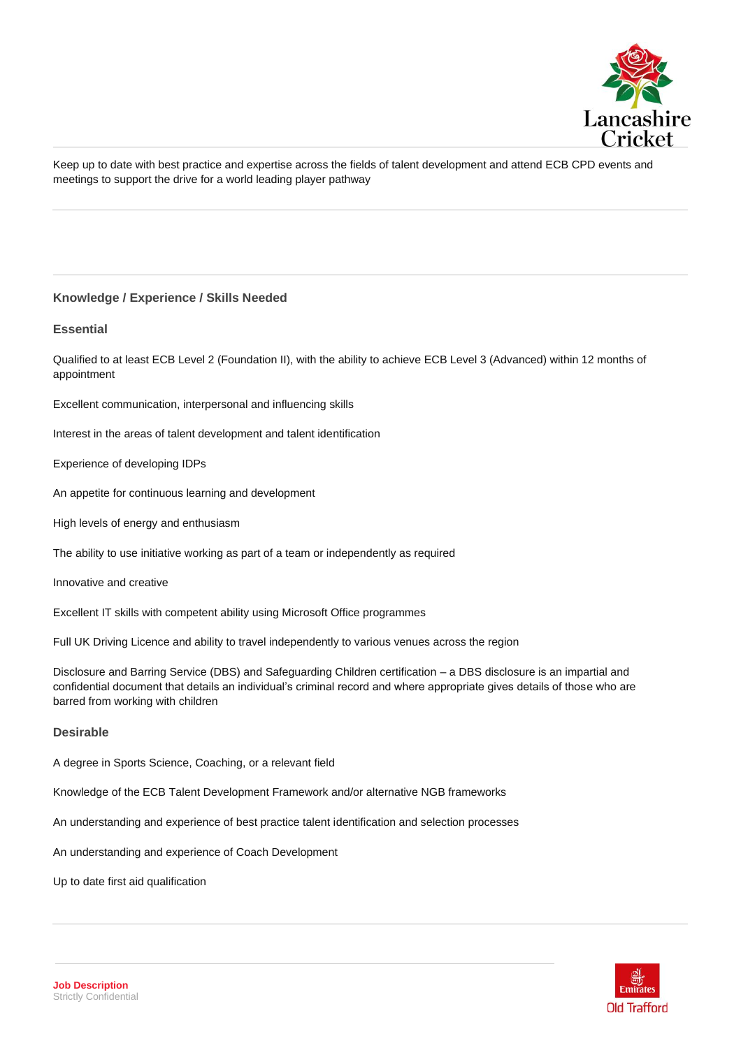

Keep up to date with best practice and expertise across the fields of talent development and attend ECB CPD events and meetings to support the drive for a world leading player pathway

## **Knowledge / Experience / Skills Needed**

#### **Essential**

Qualified to at least ECB Level 2 (Foundation II), with the ability to achieve ECB Level 3 (Advanced) within 12 months of appointment

Excellent communication, interpersonal and influencing skills

Interest in the areas of talent development and talent identification

Experience of developing IDPs

An appetite for continuous learning and development

High levels of energy and enthusiasm

The ability to use initiative working as part of a team or independently as required

Innovative and creative

Excellent IT skills with competent ability using Microsoft Office programmes

Full UK Driving Licence and ability to travel independently to various venues across the region

Disclosure and Barring Service (DBS) and Safeguarding Children certification – a DBS disclosure is an impartial and confidential document that details an individual's criminal record and where appropriate gives details of those who are barred from working with children

## **Desirable**

A degree in Sports Science, Coaching, or a relevant field

Knowledge of the ECB Talent Development Framework and/or alternative NGB frameworks

An understanding and experience of best practice talent identification and selection processes

An understanding and experience of Coach Development

Up to date first aid qualification